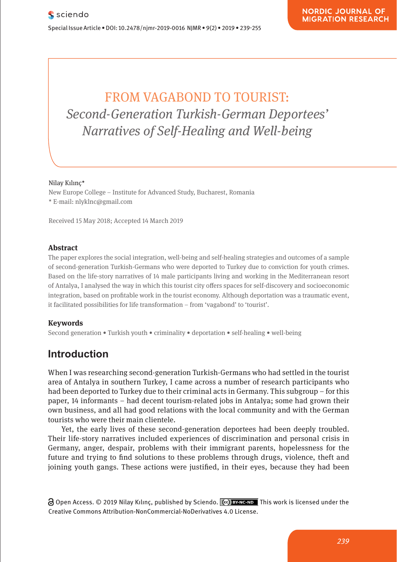# FROM VAGABOND TO TOURIST: *Second-Generation Turkish-German Deportees' Narratives of Self-Healing and Well-being*

#### Nilay Kılınç\*

New Europe College – Institute for Advanced Study, Bucharest, Romania \* E-mail: nlyklnc@gmail.com

Received 15 May 2018; Accepted 14 March 2019

#### **Abstract**

The paper explores the social integration, well-being and self-healing strategies and outcomes of a sample of second-generation Turkish-Germans who were deported to Turkey due to conviction for youth crimes. Based on the life-story narratives of 14 male participants living and working in the Mediterranean resort of Antalya, I analysed the way in which this tourist city offers spaces for self-discovery and socioeconomic integration, based on profitable work in the tourist economy. Although deportation was a traumatic event, it facilitated possibilities for life transformation – from 'vagabond' to 'tourist'.

#### **Keywords**

Second generation • Turkish youth • criminality • deportation • self-healing • well-being

# **Introduction**

When I was researching second-generation Turkish-Germans who had settled in the tourist area of Antalya in southern Turkey, I came across a number of research participants who had been deported to Turkey due to their criminal acts in Germany. This subgroup – for this paper, 14 informants – had decent tourism-related jobs in Antalya; some had grown their own business, and all had good relations with the local community and with the German tourists who were their main clientele.

Yet, the early lives of these second-generation deportees had been deeply troubled. Their life-story narratives included experiences of discrimination and personal crisis in Germany, anger, despair, problems with their immigrant parents, hopelessness for the future and trying to find solutions to these problems through drugs, violence, theft and joining youth gangs. These actions were justified, in their eyes, because they had been

 $\partial$  Open Access. © 2019 Nilay Kılınc, published by Sciendo.  $\int$  Exave ND This work is licensed under the Creative Commons Attribution-NonCommercial-NoDerivatives 4.0 License.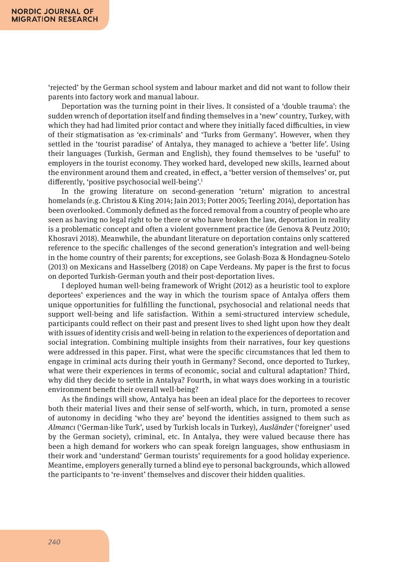'rejected' by the German school system and labour market and did not want to follow their parents into factory work and manual labour.

Deportation was the turning point in their lives. It consisted of a 'double trauma': the sudden wrench of deportation itself and finding themselves in a 'new' country, Turkey, with which they had had limited prior contact and where they initially faced difficulties, in view of their stigmatisation as 'ex-criminals' and 'Turks from Germany'. However, when they settled in the 'tourist paradise' of Antalya, they managed to achieve a 'better life'. Using their languages (Turkish, German and English), they found themselves to be 'useful' to employers in the tourist economy. They worked hard, developed new skills, learned about the environment around them and created, in effect, a 'better version of themselves' or, put differently, 'positive psychosocial well-being'.1

In the growing literature on second-generation 'return' migration to ancestral homelands (e.g. Christou & King 2014; Jain 2013; Potter 2005; Teerling 2014), deportation has been overlooked. Commonly defined as the forced removal from a country of people who are seen as having no legal right to be there or who have broken the law, deportation in reality is a problematic concept and often a violent government practice (de Genova & Peutz 2010; Khosravi 2018). Meanwhile, the abundant literature on deportation contains only scattered reference to the specific challenges of the second generation's integration and well-being in the home country of their parents; for exceptions, see Golash-Boza & Hondagneu-Sotelo (2013) on Mexicans and Hasselberg (2018) on Cape Verdeans. My paper is the first to focus on deported Turkish-German youth and their post-deportation lives.

I deployed human well-being framework of Wright (2012) as a heuristic tool to explore deportees' experiences and the way in which the tourism space of Antalya offers them unique opportunities for fulfilling the functional, psychosocial and relational needs that support well-being and life satisfaction. Within a semi-structured interview schedule, participants could reflect on their past and present lives to shed light upon how they dealt with issues of identity crisis and well-being in relation to the experiences of deportation and social integration. Combining multiple insights from their narratives, four key questions were addressed in this paper. First, what were the specific circumstances that led them to engage in criminal acts during their youth in Germany? Second, once deported to Turkey, what were their experiences in terms of economic, social and cultural adaptation? Third, why did they decide to settle in Antalya? Fourth, in what ways does working in a touristic environment benefit their overall well-being?

As the findings will show, Antalya has been an ideal place for the deportees to recover both their material lives and their sense of self-worth, which, in turn, promoted a sense of autonomy in deciding 'who they are' beyond the identities assigned to them such as *Almancı* ('German-like Turk', used by Turkish locals in Turkey), *Ausländer* ('foreigner' used by the German society), criminal, etc. In Antalya, they were valued because there has been a high demand for workers who can speak foreign languages, show enthusiasm in their work and 'understand' German tourists' requirements for a good holiday experience. Meantime, employers generally turned a blind eye to personal backgrounds, which allowed the participants to 're-invent' themselves and discover their hidden qualities.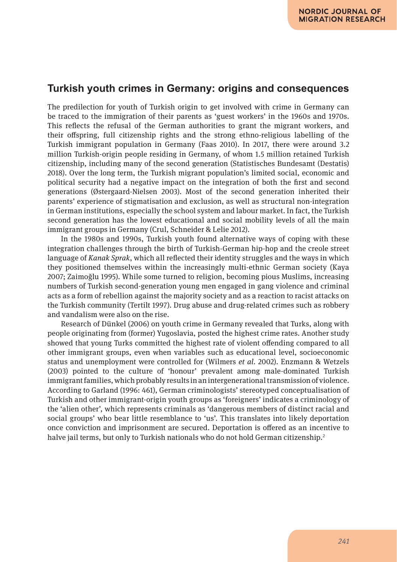### **Turkish youth crimes in Germany: origins and consequences**

The predilection for youth of Turkish origin to get involved with crime in Germany can be traced to the immigration of their parents as 'guest workers' in the 1960s and 1970s. This reflects the refusal of the German authorities to grant the migrant workers, and their offspring, full citizenship rights and the strong ethno-religious labelling of the Turkish immigrant population in Germany (Faas 2010). In 2017, there were around 3.2 million Turkish-origin people residing in Germany, of whom 1.5 million retained Turkish citizenship, including many of the second generation (Statistisches Bundesamt (Destatis) 2018). Over the long term, the Turkish migrant population's limited social, economic and political security had a negative impact on the integration of both the first and second generations (Østergaard-Nielsen 2003). Most of the second generation inherited their parents' experience of stigmatisation and exclusion, as well as structural non-integration in German institutions, especially the school system and labour market. In fact, the Turkish second generation has the lowest educational and social mobility levels of all the main immigrant groups in Germany (Crul, Schneider & Lelie 2012).

In the 1980s and 1990s, Turkish youth found alternative ways of coping with these integration challenges through the birth of Turkish-German hip-hop and the creole street language of *Kanak Sprak*, which all reflected their identity struggles and the ways in which they positioned themselves within the increasingly multi-ethnic German society (Kaya 2007; Zaimoğlu 1995). While some turned to religion, becoming pious Muslims, increasing numbers of Turkish second-generation young men engaged in gang violence and criminal acts as a form of rebellion against the majority society and as a reaction to racist attacks on the Turkish community (Tertilt 1997). Drug abuse and drug-related crimes such as robbery and vandalism were also on the rise.

Research of Dünkel (2006) on youth crime in Germany revealed that Turks, along with people originating from (former) Yugoslavia, posted the highest crime rates. Another study showed that young Turks committed the highest rate of violent offending compared to all other immigrant groups, even when variables such as educational level, socioeconomic status and unemployment were controlled for (Wilmers *et al*. 2002). Enzmann & Wetzels (2003) pointed to the culture of 'honour' prevalent among male-dominated Turkish immigrant families, which probably results in an intergenerational transmission of violence. According to Garland (1996: 461), German criminologists' stereotyped conceptualisation of Turkish and other immigrant-origin youth groups as 'foreigners' indicates a criminology of the 'alien other', which represents criminals as 'dangerous members of distinct racial and social groups' who bear little resemblance to 'us'. This translates into likely deportation once conviction and imprisonment are secured. Deportation is offered as an incentive to halve jail terms, but only to Turkish nationals who do not hold German citizenship.<sup>2</sup>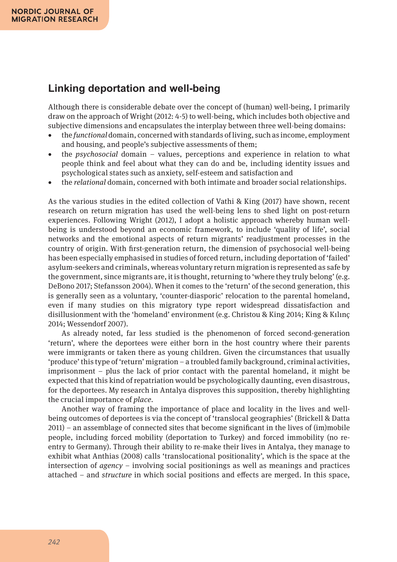# **Linking deportation and well-being**

Although there is considerable debate over the concept of (human) well-being, I primarily draw on the approach of Wright (2012: 4-5) to well-being, which includes both objective and subjective dimensions and encapsulates the interplay between three well-being domains:

- • the *functional* domain, concerned with standards of living, such as income, employment and housing, and people's subjective assessments of them;
- • the *psychosocial* domain values, perceptions and experience in relation to what people think and feel about what they can do and be, including identity issues and psychological states such as anxiety, self-esteem and satisfaction and
- • the *relational* domain, concerned with both intimate and broader social relationships.

As the various studies in the edited collection of Vathi & King (2017) have shown, recent research on return migration has used the well-being lens to shed light on post-return experiences. Following Wright (2012), I adopt a holistic approach whereby human wellbeing is understood beyond an economic framework, to include 'quality of life', social networks and the emotional aspects of return migrants' readjustment processes in the country of origin. With first-generation return, the dimension of psychosocial well-being has been especially emphasised in studies of forced return, including deportation of 'failed' asylum-seekers and criminals, whereas voluntary return migration is represented as safe by the government, since migrants are, it is thought, returning to 'where they truly belong' (e.g. DeBono 2017; Stefansson 2004). When it comes to the 'return' of the second generation, this is generally seen as a voluntary, 'counter-diasporic' relocation to the parental homeland, even if many studies on this migratory type report widespread dissatisfaction and disillusionment with the 'homeland' environment (e.g. Christou & King 2014; King & Kılınç 2014; Wessendorf 2007).

As already noted, far less studied is the phenomenon of forced second-generation 'return', where the deportees were either born in the host country where their parents were immigrants or taken there as young children. Given the circumstances that usually 'produce' this type of 'return' migration – a troubled family background, criminal activities, imprisonment – plus the lack of prior contact with the parental homeland, it might be expected that this kind of repatriation would be psychologically daunting, even disastrous, for the deportees. My research in Antalya disproves this supposition, thereby highlighting the crucial importance of *place*.

Another way of framing the importance of place and locality in the lives and wellbeing outcomes of deportees is via the concept of 'translocal geographies' (Brickell & Datta 2011) – an assemblage of connected sites that become significant in the lives of (im)mobile people, including forced mobility (deportation to Turkey) and forced immobility (no reentry to Germany). Through their ability to re-make their lives in Antalya, they manage to exhibit what Anthias (2008) calls 'translocational positionality', which is the space at the intersection of *agency* – involving social positionings as well as meanings and practices attached – and *structure* in which social positions and effects are merged. In this space,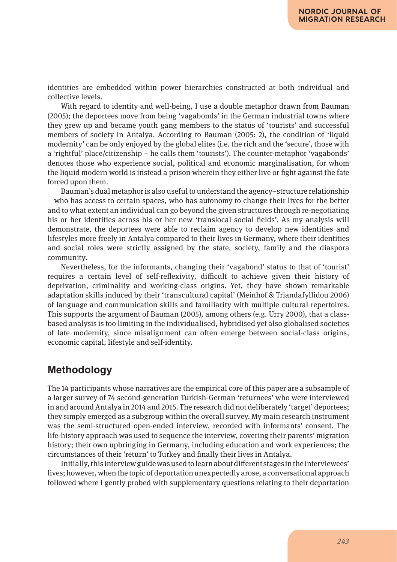identities are embedded within power hierarchies constructed at both individual and collective levels.

With regard to identity and well-being, I use a double metaphor drawn from Bauman (2005); the deportees move from being 'vagabonds' in the German industrial towns where they grew up and became youth gang members to the status of 'tourists' and successful members of society in Antalya. According to Bauman (2005: 2), the condition of 'liquid modernity' can be only enjoyed by the global elites (i.e. the rich and the 'secure', those with a 'rightful' place/citizenship – he calls them 'tourists'). The counter-metaphor 'vagabonds' denotes those who experience social, political and economic marginalisation, for whom the liquid modern world is instead a prison wherein they either live or fight against the fate forced upon them.

Bauman's dual metaphor is also useful to understand the agency–structure relationship – who has access to certain spaces, who has autonomy to change their lives for the better and to what extent an individual can go beyond the given structures through re-negotiating his or her identities across his or her new 'translocal social fields'. As my analysis will demonstrate, the deportees were able to reclaim agency to develop new identities and lifestyles more freely in Antalya compared to their lives in Germany, where their identities and social roles were strictly assigned by the state, society, family and the diaspora community.

Nevertheless, for the informants, changing their 'vagabond' status to that of 'tourist' requires a certain level of self-reflexivity, difficult to achieve given their history of deprivation, criminality and working-class origins. Yet, they have shown remarkable adaptation skills induced by their 'transcultural capital' (Meinhof & Triandafyllidou 2006) of language and communication skills and familiarity with multiple cultural repertoires. This supports the argument of Bauman (2005), among others (e.g. Urry 2000), that a classbased analysis is too limiting in the individualised, hybridised yet also globalised societies of late modernity, since misalignment can often emerge between social-class origins, economic capital, lifestyle and self-identity.

### **Methodology**

The 14 participants whose narratives are the empirical core of this paper are a subsample of a larger survey of 74 second-generation Turkish-German 'returnees' who were interviewed in and around Antalya in 2014 and 2015. The research did not deliberately 'target' deportees; they simply emerged as a subgroup within the overall survey. My main research instrument was the semi-structured open-ended interview, recorded with informants' consent. The life-history approach was used to sequence the interview, covering their parents' migration history; their own upbringing in Germany, including education and work experiences; the circumstances of their 'return' to Turkey and finally their lives in Antalya.

Initially, this interview guide was used to learn about different stages in the interviewees' lives; however, when the topic of deportation unexpectedly arose, a conversational approach followed where I gently probed with supplementary questions relating to their deportation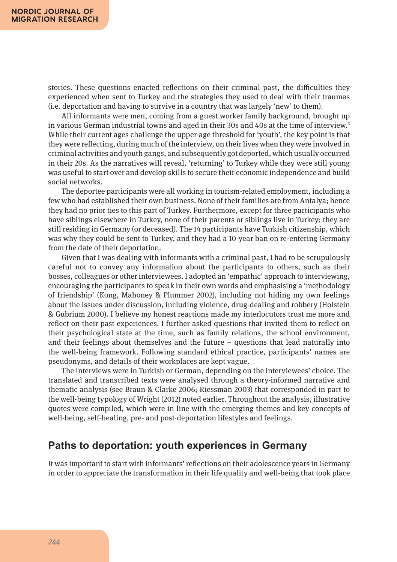stories. These questions enacted reflections on their criminal past, the difficulties they experienced when sent to Turkey and the strategies they used to deal with their traumas (i.e. deportation and having to survive in a country that was largely 'new' to them).

All informants were men, coming from a guest worker family background, brought up in various German industrial towns and aged in their 30s and 40s at the time of interview.<sup>3</sup> While their current ages challenge the upper-age threshold for 'youth', the key point is that they were reflecting, during much of the interview, on their lives when they were involved in criminal activities and youth gangs, and subsequently got deported, which usually occurred in their 20s. As the narratives will reveal, 'returning' to Turkey while they were still young was useful to start over and develop skills to secure their economic independence and build social networks.

The deportee participants were all working in tourism-related employment, including a few who had established their own business. None of their families are from Antalya; hence they had no prior ties to this part of Turkey. Furthermore, except for three participants who have siblings elsewhere in Turkey, none of their parents or siblings live in Turkey; they are still residing in Germany (or deceased). The 14 participants have Turkish citizenship, which was why they could be sent to Turkey, and they had a 10-year ban on re-entering Germany from the date of their deportation.

Given that I was dealing with informants with a criminal past, I had to be scrupulously careful not to convey any information about the participants to others, such as their bosses, colleagues or other interviewees. I adopted an 'empathic' approach to interviewing, encouraging the participants to speak in their own words and emphasising a 'methodology of friendship' (Kong, Mahoney & Plummer 2002), including not hiding my own feelings about the issues under discussion, including violence, drug-dealing and robbery (Holstein & Gubrium 2000). I believe my honest reactions made my interlocutors trust me more and reflect on their past experiences. I further asked questions that invited them to reflect on their psychological state at the time, such as family relations, the school environment, and their feelings about themselves and the future  $-$  questions that lead naturally into the well-being framework. Following standard ethical practice, participants' names are pseudonyms, and details of their workplaces are kept vague.

The interviews were in Turkish or German, depending on the interviewees' choice. The translated and transcribed texts were analysed through a theory-informed narrative and thematic analysis (see Braun & Clarke 2006; Riessman 2003) that corresponded in part to the well-being typology of Wright (2012) noted earlier. Throughout the analysis, illustrative quotes were compiled, which were in line with the emerging themes and key concepts of well-being, self-healing, pre- and post-deportation lifestyles and feelings.

# **Paths to deportation: youth experiences in Germany**

It was important to start with informants' reflections on their adolescence years in Germany in order to appreciate the transformation in their life quality and well-being that took place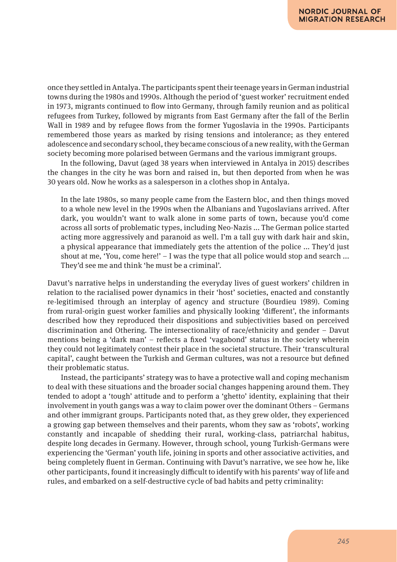once they settled in Antalya. The participants spent their teenage years in German industrial towns during the 1980s and 1990s. Although the period of 'guest worker' recruitment ended in 1973, migrants continued to flow into Germany, through family reunion and as political refugees from Turkey, followed by migrants from East Germany after the fall of the Berlin Wall in 1989 and by refugee flows from the former Yugoslavia in the 1990s. Participants remembered those years as marked by rising tensions and intolerance; as they entered adolescence and secondary school, they became conscious of a new reality, with the German society becoming more polarised between Germans and the various immigrant groups.

In the following, Davut (aged 38 years when interviewed in Antalya in 2015) describes the changes in the city he was born and raised in, but then deported from when he was 30 years old. Now he works as a salesperson in a clothes shop in Antalya.

In the late 1980s, so many people came from the Eastern bloc, and then things moved to a whole new level in the 1990s when the Albanians and Yugoslavians arrived. After dark, you wouldn't want to walk alone in some parts of town, because you'd come across all sorts of problematic types, including Neo-Nazis ... The German police started acting more aggressively and paranoid as well. I'm a tall guy with dark hair and skin, a physical appearance that immediately gets the attention of the police ... They'd just shout at me, 'You, come here!'  $-1$  was the type that all police would stop and search ... They'd see me and think 'he must be a criminal'.

Davut's narrative helps in understanding the everyday lives of guest workers' children in relation to the racialised power dynamics in their 'host' societies, enacted and constantly re-legitimised through an interplay of agency and structure (Bourdieu 1989). Coming from rural-origin guest worker families and physically looking 'different', the informants described how they reproduced their dispositions and subjectivities based on perceived discrimination and Othering. The intersectionality of race/ethnicity and gender – Davut mentions being a 'dark man' – reflects a fixed 'vagabond' status in the society wherein they could not legitimately contest their place in the societal structure. Their 'transcultural capital', caught between the Turkish and German cultures, was not a resource but defined their problematic status.

Instead, the participants' strategy was to have a protective wall and coping mechanism to deal with these situations and the broader social changes happening around them. They tended to adopt a 'tough' attitude and to perform a 'ghetto' identity, explaining that their involvement in youth gangs was a way to claim power over the dominant Others – Germans and other immigrant groups. Participants noted that, as they grew older, they experienced a growing gap between themselves and their parents, whom they saw as 'robots', working constantly and incapable of shedding their rural, working-class, patriarchal habitus, despite long decades in Germany. However, through school, young Turkish-Germans were experiencing the 'German' youth life, joining in sports and other associative activities, and being completely fluent in German. Continuing with Davut's narrative, we see how he, like other participants, found it increasingly difficult to identify with his parents' way of life and rules, and embarked on a self-destructive cycle of bad habits and petty criminality: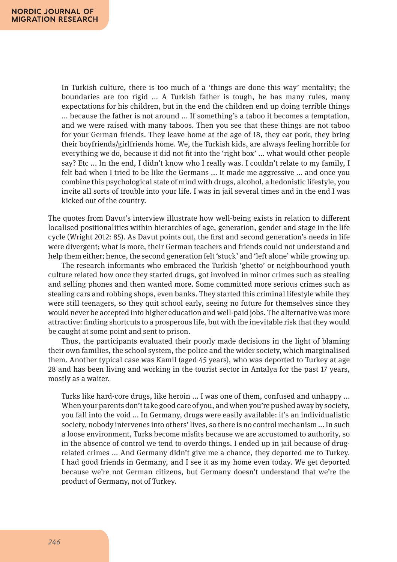In Turkish culture, there is too much of a 'things are done this way' mentality; the boundaries are too rigid ... A Turkish father is tough, he has many rules, many expectations for his children, but in the end the children end up doing terrible things ... because the father is not around ... If something's a taboo it becomes a temptation, and we were raised with many taboos. Then you see that these things are not taboo for your German friends. They leave home at the age of 18, they eat pork, they bring their boyfriends/girlfriends home. We, the Turkish kids, are always feeling horrible for everything we do, because it did not fit into the 'right box' ... what would other people say? Etc ... In the end, I didn't know who I really was. I couldn't relate to my family, I felt bad when I tried to be like the Germans ... It made me aggressive ... and once you combine this psychological state of mind with drugs, alcohol, a hedonistic lifestyle, you invite all sorts of trouble into your life. I was in jail several times and in the end I was kicked out of the country.

The quotes from Davut's interview illustrate how well-being exists in relation to different localised positionalities within hierarchies of age, generation, gender and stage in the life cycle (Wright 2012: 85). As Davut points out, the first and second generation's needs in life were divergent; what is more, their German teachers and friends could not understand and help them either; hence, the second generation felt 'stuck' and 'left alone' while growing up.

The research informants who embraced the Turkish 'ghetto' or neighbourhood youth culture related how once they started drugs, got involved in minor crimes such as stealing and selling phones and then wanted more. Some committed more serious crimes such as stealing cars and robbing shops, even banks. They started this criminal lifestyle while they were still teenagers, so they quit school early, seeing no future for themselves since they would never be accepted into higher education and well-paid jobs. The alternative was more attractive: finding shortcuts to a prosperous life, but with the inevitable risk that they would be caught at some point and sent to prison.

Thus, the participants evaluated their poorly made decisions in the light of blaming their own families, the school system, the police and the wider society, which marginalised them. Another typical case was Kamil (aged 45 years), who was deported to Turkey at age 28 and has been living and working in the tourist sector in Antalya for the past 17 years, mostly as a waiter.

Turks like hard-core drugs, like heroin ... I was one of them, confused and unhappy ... When your parents don't take good care of you, and when you're pushed away by society, you fall into the void ... In Germany, drugs were easily available: it's an individualistic society, nobody intervenes into others' lives, so there is no control mechanism ... In such a loose environment, Turks become misfits because we are accustomed to authority, so in the absence of control we tend to overdo things. I ended up in jail because of drugrelated crimes ... And Germany didn't give me a chance, they deported me to Turkey. I had good friends in Germany, and I see it as my home even today. We get deported because we're not German citizens, but Germany doesn't understand that we're the product of Germany, not of Turkey.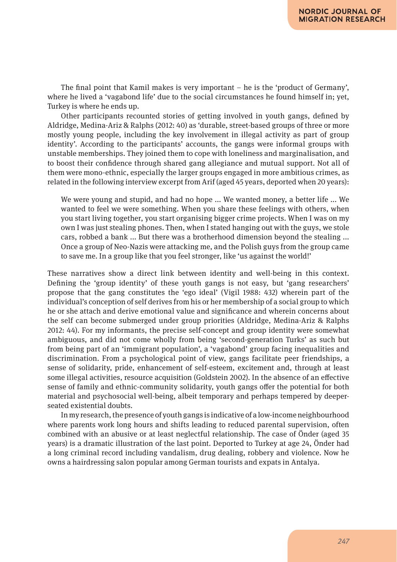The final point that Kamil makes is very important – he is the 'product of Germany', where he lived a 'vagabond life' due to the social circumstances he found himself in; yet, Turkey is where he ends up.

Other participants recounted stories of getting involved in youth gangs, defined by Aldridge, Medina-Ariz & Ralphs (2012: 40) as 'durable, street-based groups of three or more mostly young people, including the key involvement in illegal activity as part of group identity'. According to the participants' accounts, the gangs were informal groups with unstable memberships. They joined them to cope with loneliness and marginalisation, and to boost their confidence through shared gang allegiance and mutual support. Not all of them were mono-ethnic, especially the larger groups engaged in more ambitious crimes, as related in the following interview excerpt from Arif (aged 45 years, deported when 20 years):

We were young and stupid, and had no hope ... We wanted money, a better life ... We wanted to feel we were something. When you share these feelings with others, when you start living together, you start organising bigger crime projects. When I was on my own I was just stealing phones. Then, when I stated hanging out with the guys, we stole cars, robbed a bank ... But there was a brotherhood dimension beyond the stealing ... Once a group of Neo-Nazis were attacking me, and the Polish guys from the group came to save me. In a group like that you feel stronger, like 'us against the world!'

These narratives show a direct link between identity and well-being in this context. Defining the 'group identity' of these youth gangs is not easy, but 'gang researchers' propose that the gang constitutes the 'ego ideal' (Vigil 1988: 432) wherein part of the individual's conception of self derives from his or her membership of a social group to which he or she attach and derive emotional value and significance and wherein concerns about the self can become submerged under group priorities (Aldridge, Medina-Ariz & Ralphs 2012: 44). For my informants, the precise self-concept and group identity were somewhat ambiguous, and did not come wholly from being 'second-generation Turks' as such but from being part of an 'immigrant population', a 'vagabond' group facing inequalities and discrimination. From a psychological point of view, gangs facilitate peer friendships, a sense of solidarity, pride, enhancement of self-esteem, excitement and, through at least some illegal activities, resource acquisition (Goldstein 2002). In the absence of an effective sense of family and ethnic-community solidarity, youth gangs offer the potential for both material and psychosocial well-being, albeit temporary and perhaps tempered by deeperseated existential doubts.

In my research, the presence of youth gangs is indicative of a low-income neighbourhood where parents work long hours and shifts leading to reduced parental supervision, often combined with an abusive or at least neglectful relationship. The case of Önder (aged 35 years) is a dramatic illustration of the last point. Deported to Turkey at age 24, Önder had a long criminal record including vandalism, drug dealing, robbery and violence. Now he owns a hairdressing salon popular among German tourists and expats in Antalya.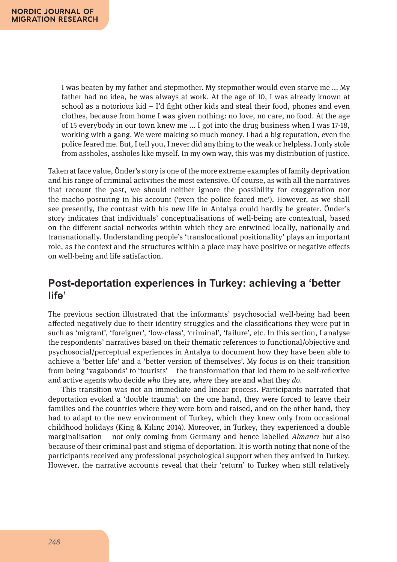I was beaten by my father and stepmother. My stepmother would even starve me ... My father had no idea, he was always at work. At the age of 10, I was already known at school as a notorious kid – I'd fight other kids and steal their food, phones and even clothes, because from home I was given nothing: no love, no care, no food. At the age of 15 everybody in our town knew me ... I got into the drug business when I was 17-18, working with a gang. We were making so much money. I had a big reputation, even the police feared me. But, I tell you, I never did anything to the weak or helpless. I only stole from assholes, assholes like myself. In my own way, this was my distribution of justice.

Taken at face value, Önder's story is one of the more extreme examples of family deprivation and his range of criminal activities the most extensive. Of course, as with all the narratives that recount the past, we should neither ignore the possibility for exaggeration nor the macho posturing in his account ('even the police feared me'). However, as we shall see presently, the contrast with his new life in Antalya could hardly be greater. Önder's story indicates that individuals' conceptualisations of well-being are contextual, based on the different social networks within which they are entwined locally, nationally and transnationally. Understanding people's 'translocational positionality' plays an important role, as the context and the structures within a place may have positive or negative effects on well-being and life satisfaction.

# **Post-deportation experiences in Turkey: achieving a 'better life'**

The previous section illustrated that the informants' psychosocial well-being had been affected negatively due to their identity struggles and the classifications they were put in such as 'migrant', 'foreigner', 'low-class', 'criminal', 'failure', etc. In this section, I analyse the respondents' narratives based on their thematic references to functional/objective and psychosocial/perceptual experiences in Antalya to document how they have been able to achieve a 'better life' and a 'better version of themselves'. My focus is on their transition from being 'vagabonds' to 'tourists' – the transformation that led them to be self-reflexive and active agents who decide *who* they are, *where* they are and what they *do*.

This transition was not an immediate and linear process. Participants narrated that deportation evoked a 'double trauma': on the one hand, they were forced to leave their families and the countries where they were born and raised, and on the other hand, they had to adapt to the new environment of Turkey, which they knew only from occasional childhood holidays (King & Kılınç 2014). Moreover, in Turkey, they experienced a double marginalisation – not only coming from Germany and hence labelled *Almancı* but also because of their criminal past and stigma of deportation. It is worth noting that none of the participants received any professional psychological support when they arrived in Turkey. However, the narrative accounts reveal that their 'return' to Turkey when still relatively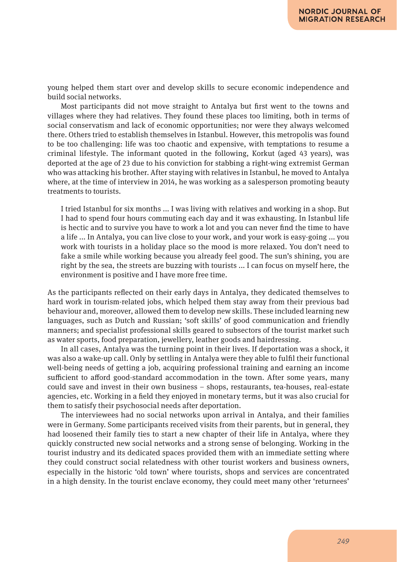young helped them start over and develop skills to secure economic independence and build social networks.

Most participants did not move straight to Antalya but first went to the towns and villages where they had relatives. They found these places too limiting, both in terms of social conservatism and lack of economic opportunities; nor were they always welcomed there. Others tried to establish themselves in Istanbul. However, this metropolis was found to be too challenging: life was too chaotic and expensive, with temptations to resume a criminal lifestyle. The informant quoted in the following, Korkut (aged 43 years), was deported at the age of 23 due to his conviction for stabbing a right-wing extremist German who was attacking his brother. After staying with relatives in Istanbul, he moved to Antalya where, at the time of interview in 2014, he was working as a salesperson promoting beauty treatments to tourists.

I tried Istanbul for six months ... I was living with relatives and working in a shop. But I had to spend four hours commuting each day and it was exhausting. In Istanbul life is hectic and to survive you have to work a lot and you can never find the time to have a life ... In Antalya, you can live close to your work, and your work is easy-going ... you work with tourists in a holiday place so the mood is more relaxed. You don't need to fake a smile while working because you already feel good. The sun's shining, you are right by the sea, the streets are buzzing with tourists ... I can focus on myself here, the environment is positive and I have more free time.

As the participants reflected on their early days in Antalya, they dedicated themselves to hard work in tourism-related jobs, which helped them stay away from their previous bad behaviour and, moreover, allowed them to develop new skills. These included learning new languages, such as Dutch and Russian; 'soft skills' of good communication and friendly manners; and specialist professional skills geared to subsectors of the tourist market such as water sports, food preparation, jewellery, leather goods and hairdressing.

In all cases, Antalya was the turning point in their lives. If deportation was a shock, it was also a wake-up call. Only by settling in Antalya were they able to fulfil their functional well-being needs of getting a job, acquiring professional training and earning an income sufficient to afford good-standard accommodation in the town. After some years, many could save and invest in their own business – shops, restaurants, tea-houses, real-estate agencies, etc. Working in a field they enjoyed in monetary terms, but it was also crucial for them to satisfy their psychosocial needs after deportation.

The interviewees had no social networks upon arrival in Antalya, and their families were in Germany. Some participants received visits from their parents, but in general, they had loosened their family ties to start a new chapter of their life in Antalya, where they quickly constructed new social networks and a strong sense of belonging. Working in the tourist industry and its dedicated spaces provided them with an immediate setting where they could construct social relatedness with other tourist workers and business owners, especially in the historic 'old town' where tourists, shops and services are concentrated in a high density. In the tourist enclave economy, they could meet many other 'returnees'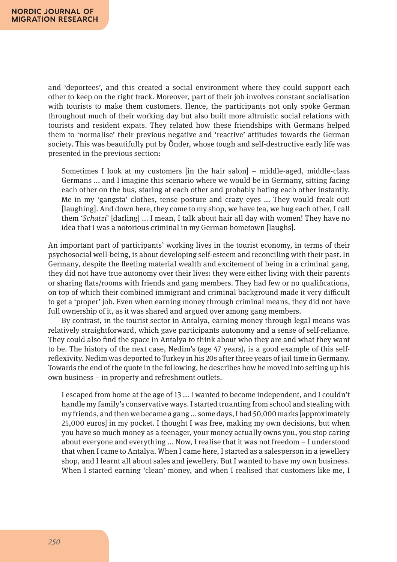and 'deportees', and this created a social environment where they could support each other to keep on the right track. Moreover, part of their job involves constant socialisation with tourists to make them customers. Hence, the participants not only spoke German throughout much of their working day but also built more altruistic social relations with tourists and resident expats. They related how these friendships with Germans helped them to 'normalise' their previous negative and 'reactive' attitudes towards the German society. This was beautifully put by Önder, whose tough and self-destructive early life was presented in the previous section:

Sometimes I look at my customers [in the hair salon] – middle-aged, middle-class Germans ... and I imagine this scenario where we would be in Germany, sitting facing each other on the bus, staring at each other and probably hating each other instantly. Me in my 'gangsta' clothes, tense posture and crazy eyes ... They would freak out! [laughing]. And down here, they come to my shop, we have tea, we hug each other, I call them '*Schatzi*' [darling] ... I mean, I talk about hair all day with women! They have no idea that I was a notorious criminal in my German hometown [laughs].

An important part of participants' working lives in the tourist economy, in terms of their psychosocial well-being, is about developing self-esteem and reconciling with their past. In Germany, despite the fleeting material wealth and excitement of being in a criminal gang, they did not have true autonomy over their lives: they were either living with their parents or sharing flats/rooms with friends and gang members. They had few or no qualifications, on top of which their combined immigrant and criminal background made it very difficult to get a 'proper' job. Even when earning money through criminal means, they did not have full ownership of it, as it was shared and argued over among gang members.

By contrast, in the tourist sector in Antalya, earning money through legal means was relatively straightforward, which gave participants autonomy and a sense of self-reliance. They could also find the space in Antalya to think about who they are and what they want to be. The history of the next case, Nedim's (age 47 years), is a good example of this selfreflexivity. Nedim was deported to Turkey in his 20s after three years of jail time in Germany. Towards the end of the quote in the following, he describes how he moved into setting up his own business – in property and refreshment outlets.

I escaped from home at the age of 13 ... I wanted to become independent, and I couldn't handle my family's conservative ways. I started truanting from school and stealing with my friends, and then we became a gang ... some days, I had 50,000 marks [approximately 25,000 euros] in my pocket. I thought I was free, making my own decisions, but when you have so much money as a teenager, your money actually owns you, you stop caring about everyone and everything ... Now, I realise that it was not freedom – I understood that when I came to Antalya. When I came here, I started as a salesperson in a jewellery shop, and I learnt all about sales and jewellery. But I wanted to have my own business. When I started earning 'clean' money, and when I realised that customers like me, I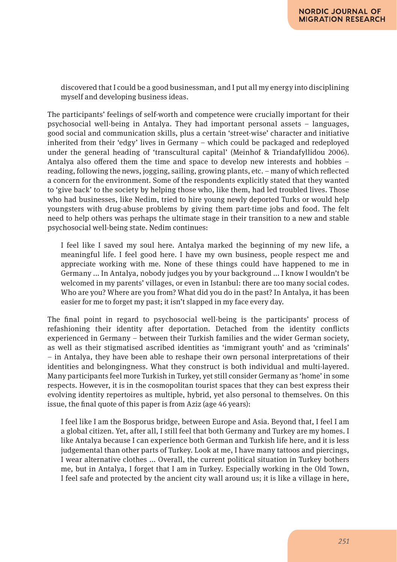discovered that I could be a good businessman, and I put all my energy into disciplining myself and developing business ideas.

The participants' feelings of self-worth and competence were crucially important for their psychosocial well-being in Antalya. They had important personal assets – languages, good social and communication skills, plus a certain 'street-wise' character and initiative inherited from their 'edgy' lives in Germany – which could be packaged and redeployed under the general heading of 'transcultural capital' (Meinhof & Triandafyllidou 2006). Antalya also offered them the time and space to develop new interests and hobbies – reading, following the news, jogging, sailing, growing plants, etc. – many of which reflected a concern for the environment. Some of the respondents explicitly stated that they wanted to 'give back' to the society by helping those who, like them, had led troubled lives. Those who had businesses, like Nedim, tried to hire young newly deported Turks or would help youngsters with drug-abuse problems by giving them part-time jobs and food. The felt need to help others was perhaps the ultimate stage in their transition to a new and stable psychosocial well-being state. Nedim continues:

I feel like I saved my soul here. Antalya marked the beginning of my new life, a meaningful life. I feel good here. I have my own business, people respect me and appreciate working with me. None of these things could have happened to me in Germany ... In Antalya, nobody judges you by your background ... I know I wouldn't be welcomed in my parents' villages, or even in Istanbul: there are too many social codes. Who are you? Where are you from? What did you do in the past? In Antalya, it has been easier for me to forget my past; it isn't slapped in my face every day.

The final point in regard to psychosocial well-being is the participants' process of refashioning their identity after deportation. Detached from the identity conflicts experienced in Germany – between their Turkish families and the wider German society, as well as their stigmatised ascribed identities as 'immigrant youth' and as 'criminals' – in Antalya, they have been able to reshape their own personal interpretations of their identities and belongingness. What they construct is both individual and multi-layered. Many participants feel more Turkish in Turkey, yet still consider Germany as 'home' in some respects. However, it is in the cosmopolitan tourist spaces that they can best express their evolving identity repertoires as multiple, hybrid, yet also personal to themselves. On this issue, the final quote of this paper is from Aziz (age 46 years):

I feel like I am the Bosporus bridge, between Europe and Asia. Beyond that, I feel I am a global citizen. Yet, after all, I still feel that both Germany and Turkey are my homes. I like Antalya because I can experience both German and Turkish life here, and it is less judgemental than other parts of Turkey. Look at me, I have many tattoos and piercings, I wear alternative clothes ... Overall, the current political situation in Turkey bothers me, but in Antalya, I forget that I am in Turkey. Especially working in the Old Town, I feel safe and protected by the ancient city wall around us; it is like a village in here,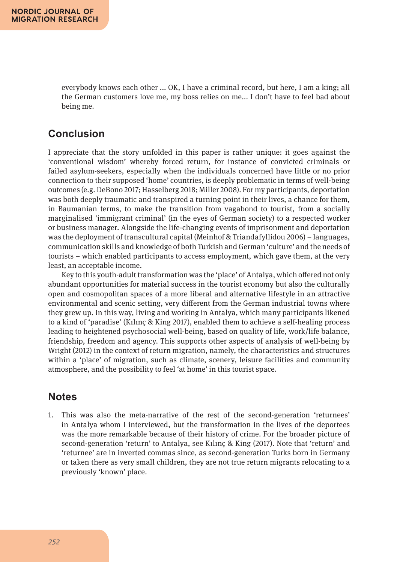everybody knows each other ... OK, I have a criminal record, but here, I am a king; all the German customers love me, my boss relies on me... I don't have to feel bad about being me.

# **Conclusion**

I appreciate that the story unfolded in this paper is rather unique: it goes against the 'conventional wisdom' whereby forced return, for instance of convicted criminals or failed asylum-seekers, especially when the individuals concerned have little or no prior connection to their supposed 'home' countries, is deeply problematic in terms of well-being outcomes (e.g. DeBono 2017; Hasselberg 2018; Miller 2008). For my participants, deportation was both deeply traumatic and transpired a turning point in their lives, a chance for them, in Baumanian terms, to make the transition from vagabond to tourist, from a socially marginalised 'immigrant criminal' (in the eyes of German society) to a respected worker or business manager. Alongside the life-changing events of imprisonment and deportation was the deployment of transcultural capital (Meinhof & Triandafyllidou 2006) – languages, communication skills and knowledge of both Turkish and German 'culture' and the needs of tourists – which enabled participants to access employment, which gave them, at the very least, an acceptable income.

Key to this youth-adult transformation was the 'place' of Antalya, which offered not only abundant opportunities for material success in the tourist economy but also the culturally open and cosmopolitan spaces of a more liberal and alternative lifestyle in an attractive environmental and scenic setting, very different from the German industrial towns where they grew up. In this way, living and working in Antalya, which many participants likened to a kind of 'paradise' (Kılınç & King 2017), enabled them to achieve a self-healing process leading to heightened psychosocial well-being, based on quality of life, work/life balance, friendship, freedom and agency. This supports other aspects of analysis of well-being by Wright (2012) in the context of return migration, namely, the characteristics and structures within a 'place' of migration, such as climate, scenery, leisure facilities and community atmosphere, and the possibility to feel 'at home' in this tourist space.

### **Notes**

1. This was also the meta-narrative of the rest of the second-generation 'returnees' in Antalya whom I interviewed, but the transformation in the lives of the deportees was the more remarkable because of their history of crime. For the broader picture of second-generation 'return' to Antalya, see Kılınç & King (2017). Note that 'return' and 'returnee' are in inverted commas since, as second-generation Turks born in Germany or taken there as very small children, they are not true return migrants relocating to a previously 'known' place.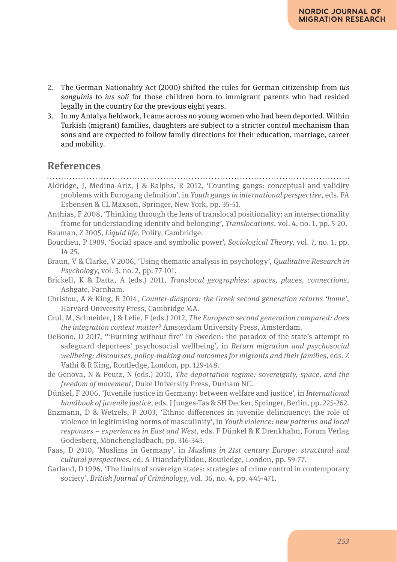- 2. The German Nationality Act (2000) shifted the rules for German citizenship from *ius sanguinis* to *ius soli* for those children born to immigrant parents who had resided legally in the country for the previous eight years.
- 3. In my Antalya fieldwork, I came across no young women who had been deported. Within Turkish (migrant) families, daughters are subject to a stricter control mechanism than sons and are expected to follow family directions for their education, marriage, career and mobility.

### **References**

- Aldridge, J, Medina-Ariz, J & Ralphs, R 2012, 'Counting gangs: conceptual and validity problems with Eurogang definition', in *Youth gangs in international perspective*, eds. FA Esbensen & CL Maxson, Springer, New York, pp. 35-51.
- Anthias, F 2008, 'Thinking through the lens of translocal positionality: an intersectionality frame for understanding identity and belonging', *Translocations*, vol. 4, no. 1, pp. 5-20.
- Bauman, Z 2005, *Liquid life*, Polity, Cambridge.
- Bourdieu, P 1989, 'Social space and symbolic power', *Sociological Theory*, vol. 7, no. 1, pp. 14-25.
- Braun, V & Clarke, V 2006, 'Using thematic analysis in psychology', *Qualitative Research in Psychology*, vol. 3, no. 2, pp. 77-101.
- Brickell, K & Datta, A (eds.) 2011, *Translocal geographies: spaces, places, connections*, Ashgate, Farnham.
- Christou, A & King, R 2014, *Counter-diaspora: the Greek second generation returns 'home'*, Harvard University Press, Cambridge MA.
- Crul, M, Schneider, J & Lelie, F (eds.) 2012, *The European second generation compared: does the integration context matter?* Amsterdam University Press, Amsterdam.
- DeBono, D 2017, '"Burning without fire" in Sweden: the paradox of the state's attempt to safeguard deportees' psychosocial wellbeing', in *Return migration and psychosocial wellbeing: discourses, policy-making and outcomes for migrants and their families*, eds. Z Vathi & R King, Routledge, London, pp. 129-148.
- de Genova, N & Peutz, N (eds.) 2010, *The deportation regime: sovereignty, space, and the freedom of movement*, Duke University Press, Durham NC.
- Dünkel, F 2006, 'Juvenile justice in Germany: between welfare and justice', in *International handbook of juvenile justice*, eds. J Junges-Tas & SH Decker, Springer, Berlin, pp. 225-262.
- Enzmann, D & Wetzels, P 2003, 'Ethnic differences in juvenile delinquency: the role of violence in legitimising norms of masculinity', in *Youth violence: new patterns and local responses – experiences in East and West*, eds. F Dünkel & K Drenkhahn, Forum Verlag Godesberg, Mönchengladbach, pp. 316-345.
- Faas, D 2010, 'Muslims in Germany', in *Muslims in 21st century Europe: structural and cultural perspectives*, ed. A Triandafyllidou, Routledge, London, pp. 59-77.
- Garland, D 1996, 'The limits of sovereign states: strategies of crime control in contemporary society', *British Journal of Criminology*, vol. 36, no. 4, pp. 445-471.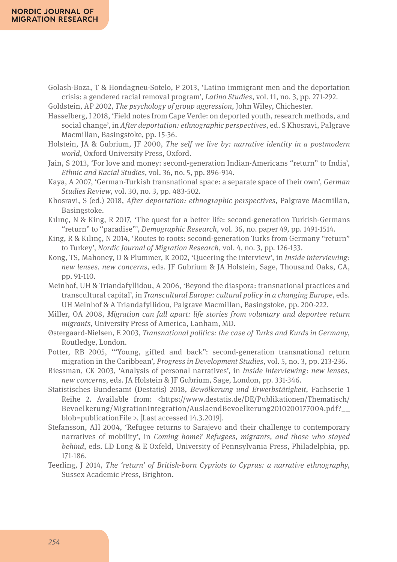#### **NORDIC JOURNAL OF MIGRATION RESEARCH**

Golash-Boza, T & Hondagneu-Sotelo, P 2013, 'Latino immigrant men and the deportation crisis: a gendered racial removal program', *Latino Studies*, vol. 11, no. 3, pp. 271-292.

Goldstein, AP 2002, *The psychology of group aggression*, John Wiley, Chichester.

- Hasselberg, I 2018, 'Field notes from Cape Verde: on deported youth, research methods, and social change', in *After deportation: ethnographic perspectives*, ed. S Khosravi, Palgrave Macmillan, Basingstoke, pp. 15-36.
- Holstein, JA & Gubrium, JF 2000, *The self we live by: narrative identity in a postmodern world*, Oxford University Press, Oxford.
- Jain, S 2013, 'For love and money: second-generation Indian-Americans "return" to India', *Ethnic and Racial Studies*, vol. 36, no. 5, pp. 896-914.
- Kaya, A 2007, 'German-Turkish transnational space: a separate space of their own', *German Studies Review*, vol. 30, no. 3, pp. 483-502.
- Khosravi, S (ed.) 2018, *After deportation: ethnographic perspectives*, Palgrave Macmillan, Basingstoke.
- Kılınç, N & King, R 2017, 'The quest for a better life: second-generation Turkish-Germans "return" to "paradise"', *Demographic Research*, vol. 36, no. paper 49, pp. 1491-1514.
- King, R & Kılınç, N 2014, 'Routes to roots: second-generation Turks from Germany "return" to Turkey', *Nordic Journal of Migration Research*, vol. 4, no. 3, pp. 126-133.
- Kong, TS, Mahoney, D & Plummer, K 2002, 'Queering the interview', in *Inside interviewing: new lenses, new concerns*, eds. JF Gubrium & JA Holstein, Sage, Thousand Oaks, CA, pp. 91-110.
- Meinhof, UH & Triandafyllidou, A 2006, 'Beyond the diaspora: transnational practices and transcultural capital', in *Transcultural Europe: cultural policy in a changing Europe*, eds. UH Meinhof & A Triandafyllidou, Palgrave Macmillan, Basingstoke, pp. 200-222.
- Miller, OA 2008, *Migration can fall apart: life stories from voluntary and deportee return migrants*, University Press of America, Lanham, MD.
- Østergaard-Nielsen, E 2003, *Transnational politics: the case of Turks and Kurds in Germany*, Routledge, London.
- Potter, RB 2005, '"Young, gifted and back": second-generation transnational return migration in the Caribbean', *Progress in Development Studies*, vol. 5, no. 3, pp. 213-236.
- Riessman, CK 2003, 'Analysis of personal narratives', in *Inside interviewing*: *new lenses*, *new concerns*, eds. JA Holstein & JF Gubrium, Sage, London, pp. 331-346.
- Statistisches Bundesamt (Destatis) 2018, *Bewölkerung und Erwerbstätigkeit*, Fachserie 1 Reihe 2. Available from: <https://www.destatis.de/DE/Publikationen/Thematisch/ Bevoelkerung/MigrationIntegration/AuslaendBevoelkerung2010200177004.pdf?\_\_ blob=publicationFile >. [Last accessed 14.3.2019].
- Stefansson, AH 2004, 'Refugee returns to Sarajevo and their challenge to contemporary narratives of mobility', in *Coming home? Refugees, migrants, and those who stayed behind*, eds. LD Long & E Oxfeld, University of Pennsylvania Press, Philadelphia, pp. 171-186.
- Teerling, J 2014, *The 'return' of British-born Cypriots to Cyprus: a narrative ethnography*, Sussex Academic Press, Brighton.